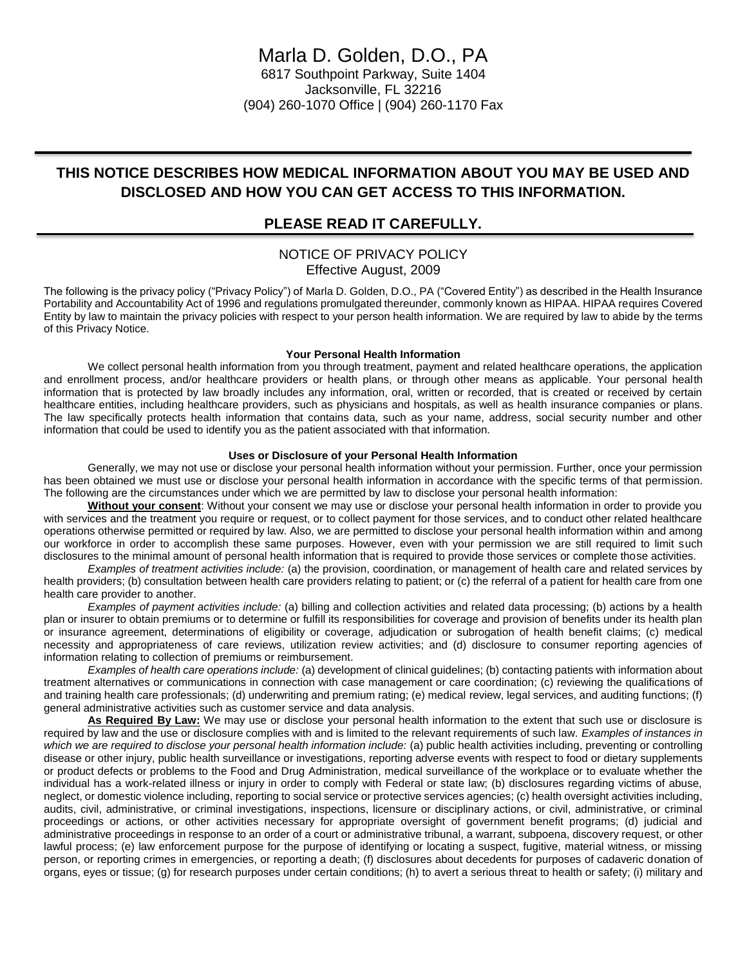## **THIS NOTICE DESCRIBES HOW MEDICAL INFORMATION ABOUT YOU MAY BE USED AND DISCLOSED AND HOW YOU CAN GET ACCESS TO THIS INFORMATION.**

## **PLEASE READ IT CAREFULLY.**

### NOTICE OF PRIVACY POLICY Effective August, 2009

The following is the privacy policy ("Privacy Policy") of Marla D. Golden, D.O., PA ("Covered Entity") as described in the Health Insurance Portability and Accountability Act of 1996 and regulations promulgated thereunder, commonly known as HIPAA. HIPAA requires Covered Entity by law to maintain the privacy policies with respect to your person health information. We are required by law to abide by the terms of this Privacy Notice.

#### **Your Personal Health Information**

We collect personal health information from you through treatment, payment and related healthcare operations, the application and enrollment process, and/or healthcare providers or health plans, or through other means as applicable. Your personal health information that is protected by law broadly includes any information, oral, written or recorded, that is created or received by certain healthcare entities, including healthcare providers, such as physicians and hospitals, as well as health insurance companies or plans. The law specifically protects health information that contains data, such as your name, address, social security number and other information that could be used to identify you as the patient associated with that information.

#### **Uses or Disclosure of your Personal Health Information**

Generally, we may not use or disclose your personal health information without your permission. Further, once your permission has been obtained we must use or disclose your personal health information in accordance with the specific terms of that permission. The following are the circumstances under which we are permitted by law to disclose your personal health information:

**Without your consent**: Without your consent we may use or disclose your personal health information in order to provide you with services and the treatment you require or request, or to collect payment for those services, and to conduct other related healthcare operations otherwise permitted or required by law. Also, we are permitted to disclose your personal health information within and among our workforce in order to accomplish these same purposes. However, even with your permission we are still required to limit such disclosures to the minimal amount of personal health information that is required to provide those services or complete those activities.

*Examples of treatment activities include:* (a) the provision, coordination, or management of health care and related services by health providers; (b) consultation between health care providers relating to patient; or (c) the referral of a patient for health care from one health care provider to another.

*Examples of payment activities include:* (a) billing and collection activities and related data processing; (b) actions by a health plan or insurer to obtain premiums or to determine or fulfill its responsibilities for coverage and provision of benefits under its health plan or insurance agreement, determinations of eligibility or coverage, adjudication or subrogation of health benefit claims; (c) medical necessity and appropriateness of care reviews, utilization review activities; and (d) disclosure to consumer reporting agencies of information relating to collection of premiums or reimbursement.

*Examples of health care operations include:* (a) development of clinical guidelines; (b) contacting patients with information about treatment alternatives or communications in connection with case management or care coordination; (c) reviewing the qualifications of and training health care professionals; (d) underwriting and premium rating; (e) medical review, legal services, and auditing functions; (f) general administrative activities such as customer service and data analysis.

**As Required By Law:** We may use or disclose your personal health information to the extent that such use or disclosure is required by law and the use or disclosure complies with and is limited to the relevant requirements of such law. *Examples of instances in which we are required to disclose your personal health information include:* (a) public health activities including, preventing or controlling disease or other injury, public health surveillance or investigations, reporting adverse events with respect to food or dietary supplements or product defects or problems to the Food and Drug Administration, medical surveillance of the workplace or to evaluate whether the individual has a work-related illness or injury in order to comply with Federal or state law; (b) disclosures regarding victims of abuse, neglect, or domestic violence including, reporting to social service or protective services agencies; (c) health oversight activities including, audits, civil, administrative, or criminal investigations, inspections, licensure or disciplinary actions, or civil, administrative, or criminal proceedings or actions, or other activities necessary for appropriate oversight of government benefit programs; (d) judicial and administrative proceedings in response to an order of a court or administrative tribunal, a warrant, subpoena, discovery request, or other lawful process; (e) law enforcement purpose for the purpose of identifying or locating a suspect, fugitive, material witness, or missing person, or reporting crimes in emergencies, or reporting a death; (f) disclosures about decedents for purposes of cadaveric donation of organs, eyes or tissue; (g) for research purposes under certain conditions; (h) to avert a serious threat to health or safety; (i) military and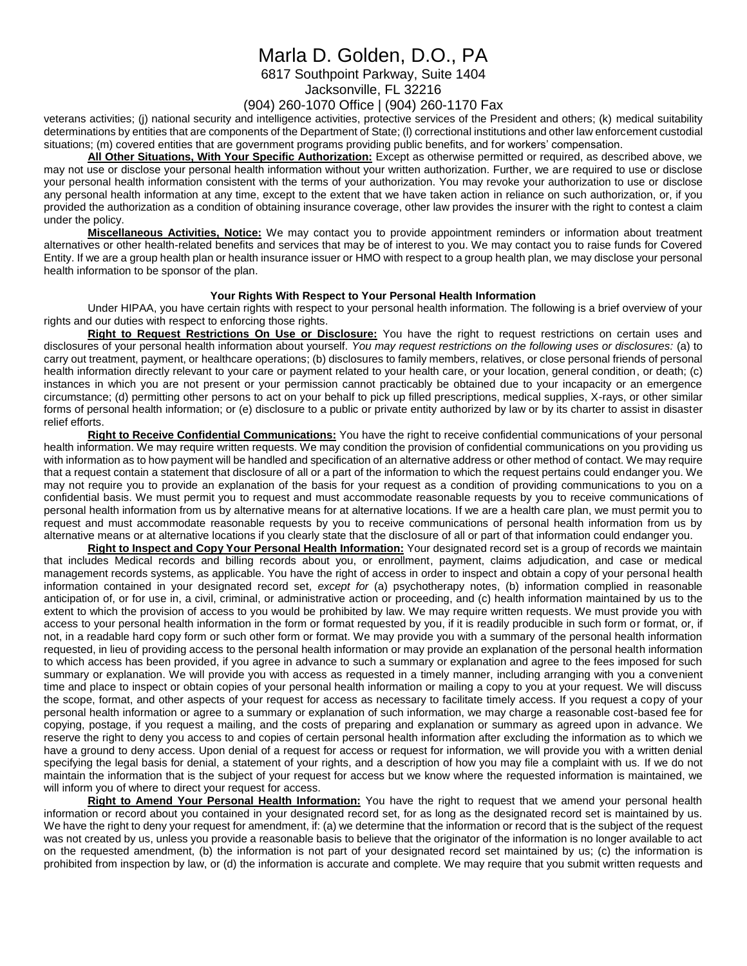# Marla D. Golden, D.O., PA

6817 Southpoint Parkway, Suite 1404

Jacksonville, FL 32216

### (904) 260-1070 Office | (904) 260-1170 Fax

veterans activities; (j) national security and intelligence activities, protective services of the President and others; (k) medical suitability determinations by entities that are components of the Department of State; (l) correctional institutions and other law enforcement custodial situations; (m) covered entities that are government programs providing public benefits, and for workers' compensation.

#### **All Other Situations, With Your Specific Authorization:** Except as otherwise permitted or required, as described above, we

may not use or disclose your personal health information without your written authorization. Further, we are required to use or disclose your personal health information consistent with the terms of your authorization. You may revoke your authorization to use or disclose any personal health information at any time, except to the extent that we have taken action in reliance on such authorization, or, if you provided the authorization as a condition of obtaining insurance coverage, other law provides the insurer with the right to contest a claim under the policy.

**Miscellaneous Activities, Notice:** We may contact you to provide appointment reminders or information about treatment alternatives or other health-related benefits and services that may be of interest to you. We may contact you to raise funds for Covered Entity. If we are a group health plan or health insurance issuer or HMO with respect to a group health plan, we may disclose your personal health information to be sponsor of the plan.

#### **Your Rights With Respect to Your Personal Health Information**

Under HIPAA, you have certain rights with respect to your personal health information. The following is a brief overview of your rights and our duties with respect to enforcing those rights.

**Right to Request Restrictions On Use or Disclosure:** You have the right to request restrictions on certain uses and disclosures of your personal health information about yourself. *You may request restrictions on the following uses or disclosures:* (a) to carry out treatment, payment, or healthcare operations; (b) disclosures to family members, relatives, or close personal friends of personal health information directly relevant to your care or payment related to your health care, or your location, general condition, or death; (c) instances in which you are not present or your permission cannot practicably be obtained due to your incapacity or an emergence circumstance; (d) permitting other persons to act on your behalf to pick up filled prescriptions, medical supplies, X-rays, or other similar forms of personal health information; or (e) disclosure to a public or private entity authorized by law or by its charter to assist in disaster relief efforts.

**Right to Receive Confidential Communications:** You have the right to receive confidential communications of your personal health information. We may require written requests. We may condition the provision of confidential communications on you providing us with information as to how payment will be handled and specification of an alternative address or other method of contact. We may require that a request contain a statement that disclosure of all or a part of the information to which the request pertains could endanger you. We may not require you to provide an explanation of the basis for your request as a condition of providing communications to you on a confidential basis. We must permit you to request and must accommodate reasonable requests by you to receive communications of personal health information from us by alternative means for at alternative locations. If we are a health care plan, we must permit you to request and must accommodate reasonable requests by you to receive communications of personal health information from us by alternative means or at alternative locations if you clearly state that the disclosure of all or part of that information could endanger you.

**Right to Inspect and Copy Your Personal Health Information:** Your designated record set is a group of records we maintain that includes Medical records and billing records about you, or enrollment, payment, claims adjudication, and case or medical management records systems, as applicable. You have the right of access in order to inspect and obtain a copy of your personal health information contained in your designated record set, *except for* (a) psychotherapy notes, (b) information complied in reasonable anticipation of, or for use in, a civil, criminal, or administrative action or proceeding, and (c) health information maintained by us to the extent to which the provision of access to you would be prohibited by law. We may require written requests. We must provide you with access to your personal health information in the form or format requested by you, if it is readily producible in such form or format, or, if not, in a readable hard copy form or such other form or format. We may provide you with a summary of the personal health information requested, in lieu of providing access to the personal health information or may provide an explanation of the personal health information to which access has been provided, if you agree in advance to such a summary or explanation and agree to the fees imposed for such summary or explanation. We will provide you with access as requested in a timely manner, including arranging with you a convenient time and place to inspect or obtain copies of your personal health information or mailing a copy to you at your request. We will discuss the scope, format, and other aspects of your request for access as necessary to facilitate timely access. If you request a copy of your personal health information or agree to a summary or explanation of such information, we may charge a reasonable cost-based fee for copying, postage, if you request a mailing, and the costs of preparing and explanation or summary as agreed upon in advance. We reserve the right to deny you access to and copies of certain personal health information after excluding the information as to which we have a ground to deny access. Upon denial of a request for access or request for information, we will provide you with a written denial specifying the legal basis for denial, a statement of your rights, and a description of how you may file a complaint with us. If we do not maintain the information that is the subject of your request for access but we know where the requested information is maintained, we will inform you of where to direct your request for access.

**Right to Amend Your Personal Health Information:** You have the right to request that we amend your personal health information or record about you contained in your designated record set, for as long as the designated record set is maintained by us. We have the right to deny your request for amendment, if: (a) we determine that the information or record that is the subject of the request was not created by us, unless you provide a reasonable basis to believe that the originator of the information is no longer available to act on the requested amendment, (b) the information is not part of your designated record set maintained by us; (c) the information is prohibited from inspection by law, or (d) the information is accurate and complete. We may require that you submit written requests and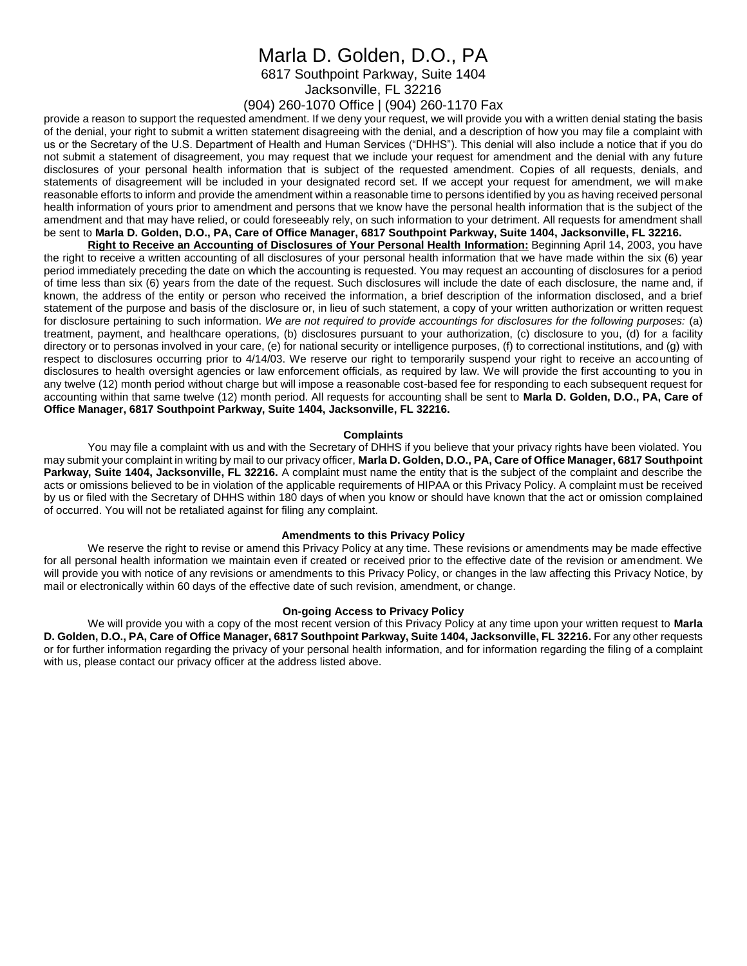## Marla D. Golden, D.O., PA

6817 Southpoint Parkway, Suite 1404

Jacksonville, FL 32216

## (904) 260-1070 Office | (904) 260-1170 Fax

provide a reason to support the requested amendment. If we deny your request, we will provide you with a written denial stating the basis of the denial, your right to submit a written statement disagreeing with the denial, and a description of how you may file a complaint with us or the Secretary of the U.S. Department of Health and Human Services ("DHHS"). This denial will also include a notice that if you do not submit a statement of disagreement, you may request that we include your request for amendment and the denial with any future disclosures of your personal health information that is subject of the requested amendment. Copies of all requests, denials, and statements of disagreement will be included in your designated record set. If we accept your request for amendment, we will make reasonable efforts to inform and provide the amendment within a reasonable time to persons identified by you as having received personal health information of yours prior to amendment and persons that we know have the personal health information that is the subject of the amendment and that may have relied, or could foreseeably rely, on such information to your detriment. All requests for amendment shall be sent to **Marla D. Golden, D.O., PA, Care of Office Manager, 6817 Southpoint Parkway, Suite 1404, Jacksonville, FL 32216.**

**Right to Receive an Accounting of Disclosures of Your Personal Health Information:** Beginning April 14, 2003, you have the right to receive a written accounting of all disclosures of your personal health information that we have made within the six (6) year period immediately preceding the date on which the accounting is requested. You may request an accounting of disclosures for a period of time less than six (6) years from the date of the request. Such disclosures will include the date of each disclosure, the name and, if known, the address of the entity or person who received the information, a brief description of the information disclosed, and a brief statement of the purpose and basis of the disclosure or, in lieu of such statement, a copy of your written authorization or written request for disclosure pertaining to such information. *We are not required to provide accountings for disclosures for the following purposes:* (a) treatment, payment, and healthcare operations, (b) disclosures pursuant to your authorization, (c) disclosure to you, (d) for a facility directory or to personas involved in your care, (e) for national security or intelligence purposes, (f) to correctional institutions, and (g) with respect to disclosures occurring prior to 4/14/03. We reserve our right to temporarily suspend your right to receive an accounting of disclosures to health oversight agencies or law enforcement officials, as required by law. We will provide the first accounting to you in any twelve (12) month period without charge but will impose a reasonable cost-based fee for responding to each subsequent request for accounting within that same twelve (12) month period. All requests for accounting shall be sent to **Marla D. Golden, D.O., PA, Care of Office Manager, 6817 Southpoint Parkway, Suite 1404, Jacksonville, FL 32216.**

#### **Complaints**

You may file a complaint with us and with the Secretary of DHHS if you believe that your privacy rights have been violated. You may submit your complaint in writing by mail to our privacy officer, **Marla D. Golden, D.O., PA, Care of Office Manager, 6817 Southpoint Parkway, Suite 1404, Jacksonville, FL 32216.** A complaint must name the entity that is the subject of the complaint and describe the acts or omissions believed to be in violation of the applicable requirements of HIPAA or this Privacy Policy. A complaint must be received by us or filed with the Secretary of DHHS within 180 days of when you know or should have known that the act or omission complained of occurred. You will not be retaliated against for filing any complaint.

#### **Amendments to this Privacy Policy**

We reserve the right to revise or amend this Privacy Policy at any time. These revisions or amendments may be made effective for all personal health information we maintain even if created or received prior to the effective date of the revision or amendment. We will provide you with notice of any revisions or amendments to this Privacy Policy, or changes in the law affecting this Privacy Notice, by mail or electronically within 60 days of the effective date of such revision, amendment, or change.

#### **On-going Access to Privacy Policy**

We will provide you with a copy of the most recent version of this Privacy Policy at any time upon your written request to **Marla D. Golden, D.O., PA, Care of Office Manager, 6817 Southpoint Parkway, Suite 1404, Jacksonville, FL 32216.** For any other requests or for further information regarding the privacy of your personal health information, and for information regarding the filing of a complaint with us, please contact our privacy officer at the address listed above.